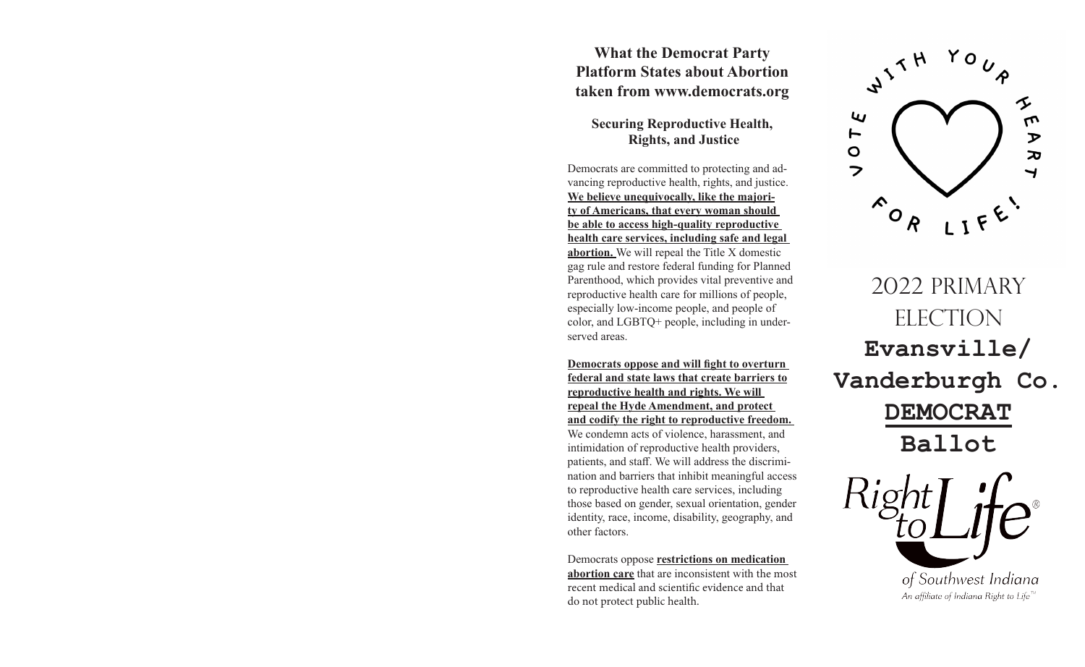## **What the Democrat Party Platform States about Abortion taken from www.democrats.org**

## **Securing Reproductive Health, Rights, and Justice**

Democrats are committed to protecting and advancing reproductive health, rights, and justice. **We believe unequivocally, like the majority of Americans, that every woman should be able to access high-quality reproductive health care services, including safe and legal abortion.** We will repeal the Title X domestic gag rule and restore federal funding for Planned Parenthood, which provides vital preventive and reproductive health care for millions of people, especially low-income people, and people of color, and LGBTQ+ people, including in underserved areas.

**Democrats oppose and will fight to overturn federal and state laws that create barriers to reproductive health and rights. We will repeal the Hyde Amendment, and protect and codify the right to reproductive freedom.**  We condemn acts of violence, harassment, and intimidation of reproductive health providers,

patients, and staff. We will address the discrimination and barriers that inhibit meaningful access to reproductive health care services, including those based on gender, sexual orientation, gender identity, race, income, disability, geography, and other factors.

Democrats oppose **restrictions on medication abortion care** that are inconsistent with the most recent medical and scientific evidence and that do not protect public health.



2022 PRIMARY ELECTION **Evansville/ Vanderburgh Co. DEMOCRAT Ballot**

> of Southwest Indiana An affiliate of Indiana Right to Life<sup> $n$ </sup>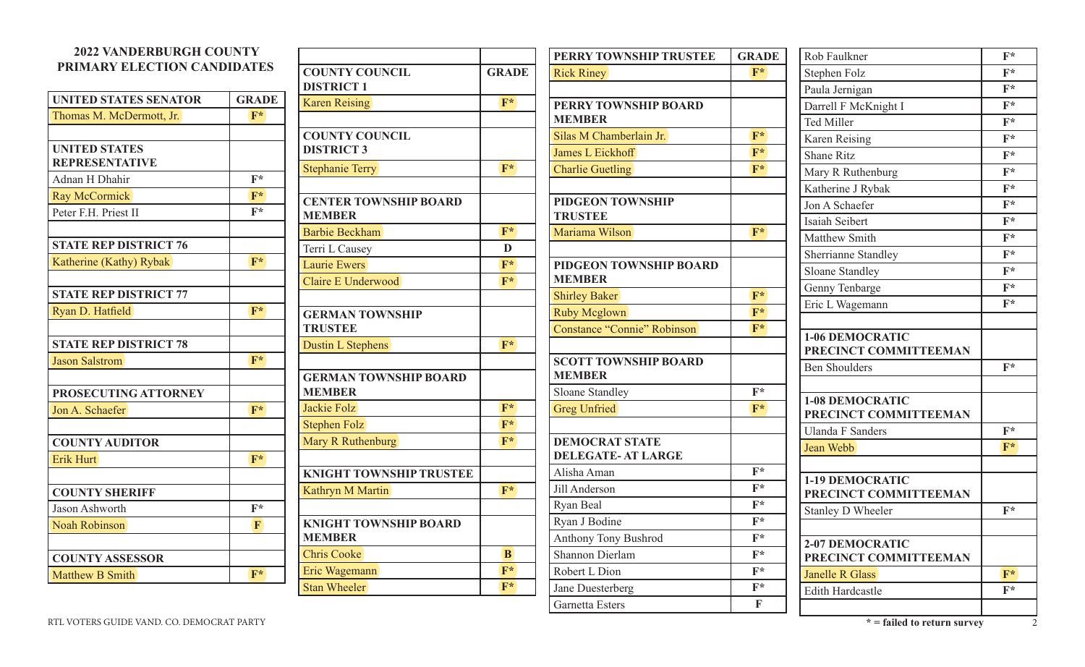## **2022 VANDERBURGH COUNTY PRIMARY ELECTION CANDIDATES UNITED STATES SENATOR GRADE** Thomas M. McDermott, Jr. **F\* UNITED STATES REPRESENTATIVE** Adnan H Dhahir **F**\* Ray McCormick **F\*** Peter F.H. Priest II **F**\* **STATE REP DISTRICT 76 Katherine (Kathy) Rybak <b>F**\* **STATE REP DISTRICT 77** Ryan D. Hatfield **F\* STATE REP DISTRICT 78** Jason Salstrom **F\* PROSECUTING ATTORNEY** Jon A. Schaefer **F\* COUNTY AUDITOR** Erik Hurt **F**\* **COUNTY SHERIFF** Jason Ashworth **F\*** Noah Robinson **F COUNTY ASSESSOR** Matthew B Smith **F**\* **COUNTY COUNCIL DISTRICT 1 GRADE** Karen Reising **F**\* **COUNTY COUNCIL DISTRICT 3 Stephanie Terry F\* CENTER TOWNSHIP BOARD MEMBER** Barbie Beckham **F**\* Terri L Causey **D** Laurie Ewers **F**\* Claire E Underwood **F\* GERMAN TOWNSHIP TRUSTEE** Dustin L Stephens **F**\* **GERMAN TOWNSHIP BOARD MEMBER** Jackie Folz **F\*** Stephen Folz **F**\* Mary R Ruthenburg **F**\* **KNIGHT TOWNSHIP TRUSTEE** Kathryn M Martin **F**\* **KNIGHT TOWNSHIP BOARD MEMBER** Chris Cooke **B** Eric Wagemann **F\*** Stan Wheeler **F**\* **PERRY TOWNSHIP TRUSTEE GRADE** Rick Riney **F**\* **PERRY TOWNSHIP BOARD MEMBER** Silas M Chamberlain Jr. **F\*** James L Eickhoff **F\*** Charlie Guetling **F\* PIDGEON TOWNSHIP TRUSTEE** Mariama Wilson **F\* PIDGEON TOWNSHIP BOARD MEMBER** Shirley Baker **F**\* Ruby Mcglown **F**\* Constance "Connie" Robinson **F\* SCOTT TOWNSHIP BOARD MEMBER** Sloane Standley **F**\* Greg Unfried **F\* DEMOCRAT STATE DELEGATE- AT LARGE** Alisha Aman **F\*** Jill Anderson **F\*** Ryan Beal **F\*** Ryan J Bodine **F\*** Anthony Tony Bushrod **F\*** Shannon Dierlam **F\*** Robert L Dion **F**\* Jane Duesterberg **F\*** Rob Faulkner **F**\* Stephen Folz **F**\* Paula Jernigan **F**\* Darrell F McKnight I **F**\* Ted Miller **F**\* Karen Reising **F**\* Shane Ritz **F**\* Mary R Ruthenburg **F**\* Katherine J Rybak **F**\* Jon A Schaefer **F\*** Isaiah Seibert **F\*** Matthew Smith **F**\* Sherrianne Standley **F\*** Sloane Standley **F**\* Genny Tenbarge **F**\* Eric L Wagemann **F\* 1-06 DEMOCRATIC PRECINCT COMMITTEEMAN** Ben Shoulders **F\* 1-08 DEMOCRATIC PRECINCT COMMITTEEMAN** Ulanda F Sanders **F\*** Jean Webb **F\* 1-19 DEMOCRATIC PRECINCT COMMITTEEMAN** Stanley D Wheeler **F**\* **2-07 DEMOCRATIC PRECINCT COMMITTEEMAN** Janelle R Glass **F**\* Edith Hardcastle **F\***

Garnetta Esters **F**